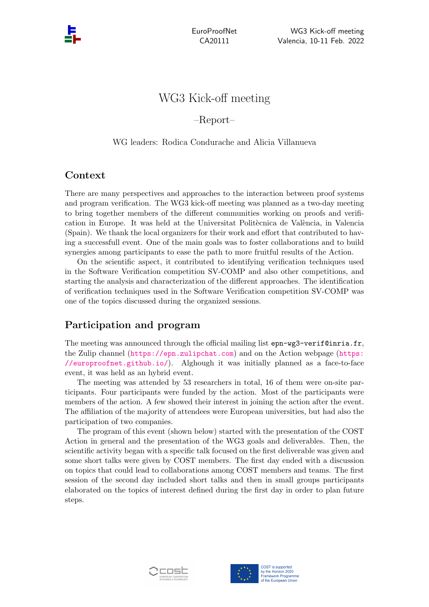EuroProofNet CA20111

# WG3 Kick-off meeting

# –Report–

#### WG leaders: Rodica Condurache and Alicia Villanueva

# Context

There are many perspectives and approaches to the interaction between proof systems and program verification. The WG3 kick-off meeting was planned as a two-day meeting to bring together members of the different communities working on proofs and verification in Europe. It was held at the Universitat Politècnica de València, in Valencia (Spain). We thank the local organizers for their work and effort that contributed to having a successfull event. One of the main goals was to foster collaborations and to build synergies among participants to ease the path to more fruitful results of the Action.

On the scientific aspect, it contributed to identifying verification techniques used in the Software Verification competition SV-COMP and also other competitions, and starting the analysis and characterization of the different approaches. The identification of verification techniques used in the Software Verification competition SV-COMP was one of the topics discussed during the organized sessions.

# Participation and program

The meeting was announced through the official mailing list epn-wg3-verif@inria.fr, the Zulip channel (<https://epn.zulipchat.com>) and on the Action webpage ([https:](https://europroofnet.github.io/) [//europroofnet.github.io/](https://europroofnet.github.io/)). Alghough it was initially planned as a face-to-face event, it was held as an hybrid event.

The meeting was attended by 53 researchers in total, 16 of them were on-site participants. Four participants were funded by the action. Most of the participants were members of the action. A few showed their interest in joining the action after the event. The affiliation of the majority of attendees were European universities, but had also the participation of two companies.

The program of this event (shown below) started with the presentation of the COST Action in general and the presentation of the WG3 goals and deliverables. Then, the scientific activity began with a specific talk focused on the first deliverable was given and some short talks were given by COST members. The first day ended with a discussion on topics that could lead to collaborations among COST members and teams. The first session of the second day included short talks and then in small groups participants elaborated on the topics of interest defined during the first day in order to plan future steps.



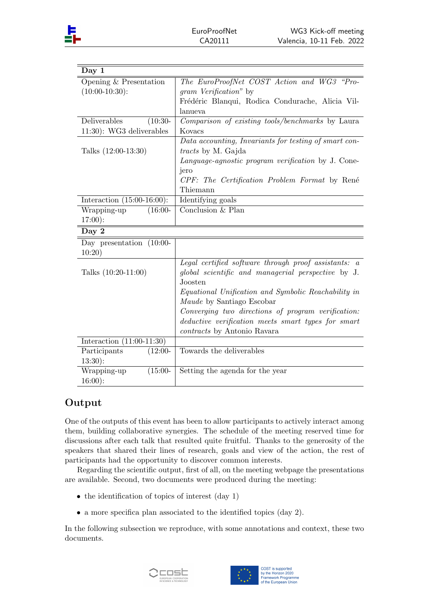| Day 1                         |                                                               |
|-------------------------------|---------------------------------------------------------------|
| Opening $&$ Presentation      | The EuroProofNet COST Action and WG3 "Pro-                    |
| $(10:00-10:30)$ :             | <i>gram Verification</i> " by                                 |
|                               | Frédéric Blanqui, Rodica Condurache, Alicia Vil-              |
|                               | lanueva                                                       |
| Deliverables<br>$(10:30-$     | Comparison of existing tools/benchmarks by Laura              |
| 11:30): WG3 deliverables      | Kovacs                                                        |
|                               | Data accounting, Invariants for testing of smart con-         |
| Talks $(12:00-13:30)$         | <i>tracts</i> by M. Gajda                                     |
|                               | Language-agnostic program verification by J. Cone-            |
|                               | jero                                                          |
|                               | CPF: The Certification Problem Format by René                 |
|                               | Thiemann                                                      |
| Interaction $(15:00-16:00)$ : | Identifying goals                                             |
| $(16:00 -$<br>Wrapping-up     | Conclusion & Plan                                             |
| $17:00$ :                     |                                                               |
| Day $2$                       |                                                               |
| Day presentation $(10:00-$    |                                                               |
| 10:20)                        |                                                               |
|                               | Legal certified software through proof assistants: a          |
| Talks $(10:20-11:00)$         | global scientific and managerial perspective by J.<br>Joosten |
|                               | Equational Unification and Symbolic Reachability in           |
|                               | Maude by Santiago Escobar                                     |
|                               | Converging two directions of program verification:            |
|                               | deductive verification meets smart types for smart            |
|                               | contracts by Antonio Ravara                                   |
| Interaction $(11:00-11:30)$   |                                                               |
| Participants<br>$(12:00 -$    | Towards the deliverables                                      |
| $13:30$ :                     |                                                               |
| Wrapping-up<br>$(15:00 -$     | Setting the agenda for the year                               |
| $16:00$ :                     |                                                               |

# Output

One of the outputs of this event has been to allow participants to actively interact among them, building collaborative synergies. The schedule of the meeting reserved time for discussions after each talk that resulted quite fruitful. Thanks to the generosity of the speakers that shared their lines of research, goals and view of the action, the rest of participants had the opportunity to discover common interests.

Regarding the scientific output, first of all, on the meeting webpage the presentations are available. Second, two documents were produced during the meeting:

- $\bullet$  the identification of topics of interest (day 1)
- a more specifica plan associated to the identified topics (day 2).

In the following subsection we reproduce, with some annotations and context, these two documents.



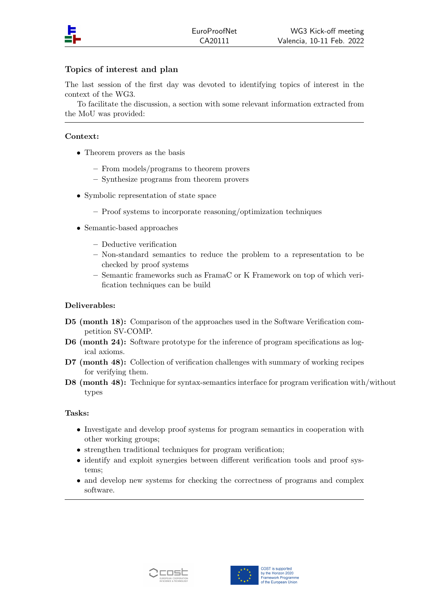

## Topics of interest and plan

The last session of the first day was devoted to identifying topics of interest in the context of the WG3.

To facilitate the discussion, a section with some relevant information extracted from the MoU was provided:

### Context:

- Theorem provers as the basis
	- From models/programs to theorem provers
	- Synthesize programs from theorem provers
- Symbolic representation of state space
	- Proof systems to incorporate reasoning/optimization techniques
- Semantic-based approaches
	- Deductive verification
	- Non-standard semantics to reduce the problem to a representation to be checked by proof systems
	- Semantic frameworks such as FramaC or K Framework on top of which verification techniques can be build

## Deliverables:

- D5 (month 18): Comparison of the approaches used in the Software Verification competition SV-COMP.
- D6 (month 24): Software prototype for the inference of program specifications as logical axioms.
- D7 (month 48): Collection of verification challenges with summary of working recipes for verifying them.
- D8 (month 48): Technique for syntax-semantics interface for program verification with/without types

#### Tasks:

- Investigate and develop proof systems for program semantics in cooperation with other working groups;
- strengthen traditional techniques for program verification;
- identify and exploit synergies between different verification tools and proof systems;
- and develop new systems for checking the correctness of programs and complex software.



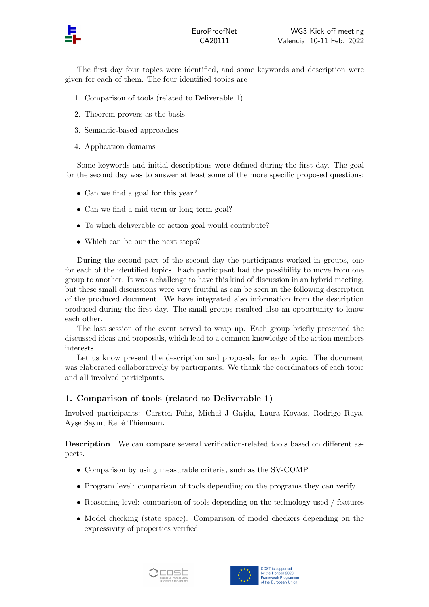The first day four topics were identified, and some keywords and description were given for each of them. The four identified topics are

- 1. Comparison of tools (related to Deliverable 1)
- 2. Theorem provers as the basis
- 3. Semantic-based approaches
- 4. Application domains

Some keywords and initial descriptions were defined during the first day. The goal for the second day was to answer at least some of the more specific proposed questions:

- Can we find a goal for this year?
- Can we find a mid-term or long term goal?
- To which deliverable or action goal would contribute?
- Which can be our the next steps?

During the second part of the second day the participants worked in groups, one for each of the identified topics. Each participant had the possibility to move from one group to another. It was a challenge to have this kind of discussion in an hybrid meeting, but these small discussions were very fruitful as can be seen in the following description of the produced document. We have integrated also information from the description produced during the first day. The small groups resulted also an opportunity to know each other.

The last session of the event served to wrap up. Each group briefly presented the discussed ideas and proposals, which lead to a common knowledge of the action members interests.

Let us know present the description and proposals for each topic. The document was elaborated collaboratively by participants. We thank the coordinators of each topic and all involved participants.

## 1. Comparison of tools (related to Deliverable 1)

Involved participants: Carsten Fuhs, Michał J Gajda, Laura Kovacs, Rodrigo Raya, Ayşe Sayın, René Thiemann.

Description We can compare several verification-related tools based on different aspects.

- Comparison by using measurable criteria, such as the SV-COMP
- Program level: comparison of tools depending on the programs they can verify
- Reasoning level: comparison of tools depending on the technology used / features
- Model checking (state space). Comparison of model checkers depending on the expressivity of properties verified



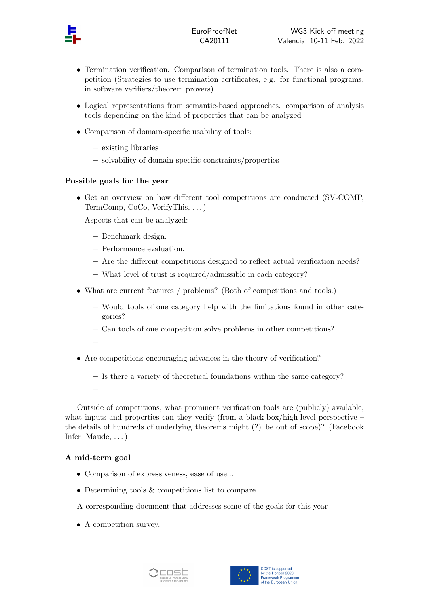- Termination verification. Comparison of termination tools. There is also a competition (Strategies to use termination certificates, e.g. for functional programs, in software verifiers/theorem provers)
- Logical representations from semantic-based approaches. comparison of analysis tools depending on the kind of properties that can be analyzed
- Comparison of domain-specific usability of tools:
	- existing libraries
	- solvability of domain specific constraints/properties

## Possible goals for the year

• Get an overview on how different tool competitions are conducted (SV-COMP, TermComp, CoCo, VerifyThis, . . . )

Aspects that can be analyzed:

- Benchmark design.
- Performance evaluation.
- Are the different competitions designed to reflect actual verification needs?
- What level of trust is required/admissible in each category?
- What are current features / problems? (Both of competitions and tools.)
	- Would tools of one category help with the limitations found in other categories?
	- Can tools of one competition solve problems in other competitions?
	- $-$  ...
- Are competitions encouraging advances in the theory of verification?
	- Is there a variety of theoretical foundations within the same category?
	- $-$  ...

Outside of competitions, what prominent verification tools are (publicly) available, what inputs and properties can they verify (from a black-box/high-level perspective  $$ the details of hundreds of underlying theorems might (?) be out of scope)? (Facebook Infer, Maude, . . . )

## A mid-term goal

- Comparison of expressiveness, ease of use...
- Determining tools & competitions list to compare
- A corresponding document that addresses some of the goals for this year
- A competition survey.



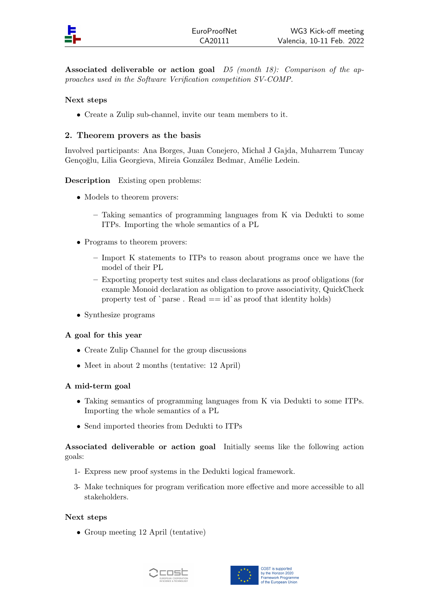Associated deliverable or action goal  $D5$  (month 18): Comparison of the approaches used in the Software Verification competition SV-COMP.

## Next steps

• Create a Zulip sub-channel, invite our team members to it.

## 2. Theorem provers as the basis

Involved participants: Ana Borges, Juan Conejero, Micha l J Gajda, Muharrem Tuncay Gençoğlu, Lilia Georgieva, Mireia González Bedmar, Amélie Ledein.

## Description Existing open problems:

- Models to theorem provers:
	- Taking semantics of programming languages from K via Dedukti to some ITPs. Importing the whole semantics of a PL
- Programs to theorem provers:
	- Import K statements to ITPs to reason about programs once we have the model of their PL
	- Exporting property test suites and class declarations as proof obligations (for example Monoid declaration as obligation to prove associativity, QuickCheck property test of `parse. Read  $==$  id`as proof that identity holds)
- Synthesize programs

## A goal for this year

- Create Zulip Channel for the group discussions
- Meet in about 2 months (tentative: 12 April)

#### A mid-term goal

- Taking semantics of programming languages from K via Dedukti to some ITPs. Importing the whole semantics of a PL
- Send imported theories from Dedukti to ITPs

Associated deliverable or action goal Initially seems like the following action goals:

- 1- Express new proof systems in the Dedukti logical framework.
- 3- Make techniques for program verification more effective and more accessible to all stakeholders.

#### Next steps

• Group meeting 12 April (tentative)



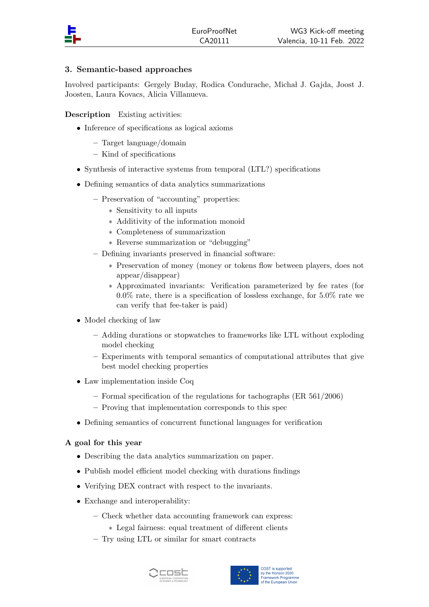

# 3. Semantic-based approaches

Involved participants: Gergely Buday, Rodica Condurache, Micha l J. Gajda, Joost J. Joosten, Laura Kovacs, Alicia Villanueva.

Description Existing activities:

- Inference of specifications as logical axioms
	- Target language/domain
	- Kind of specifications
- Synthesis of interactive systems from temporal (LTL?) specifications
- Defining semantics of data analytics summarizations
	- Preservation of "accounting" properties:
		- ∗ Sensitivity to all inputs
		- ∗ Additivity of the information monoid
		- ∗ Completeness of summarization
		- ∗ Reverse summarization or "debugging"
	- Defining invariants preserved in financial software:
		- ∗ Preservation of money (money or tokens flow between players, does not appear/disappear)
		- ∗ Approximated invariants: Verification parameterized by fee rates (for  $0.0\%$  rate, there is a specification of lossless exchange, for  $5.0\%$  rate we can verify that fee-taker is paid)
- Model checking of law
	- Adding durations or stopwatches to frameworks like LTL without exploding model checking
	- Experiments with temporal semantics of computational attributes that give best model checking properties
- Law implementation inside Coq
	- Formal specification of the regulations for tachographs (ER 561/2006)
	- Proving that implementation corresponds to this spec
- Defining semantics of concurrent functional languages for verification

## A goal for this year

- Describing the data analytics summarization on paper.
- Publish model efficient model checking with durations findings
- Verifying DEX contract with respect to the invariants.
- Exchange and interoperability:
	- Check whether data accounting framework can express:
		- ∗ Legal fairness: equal treatment of different clients
	- Try using LTL or similar for smart contracts



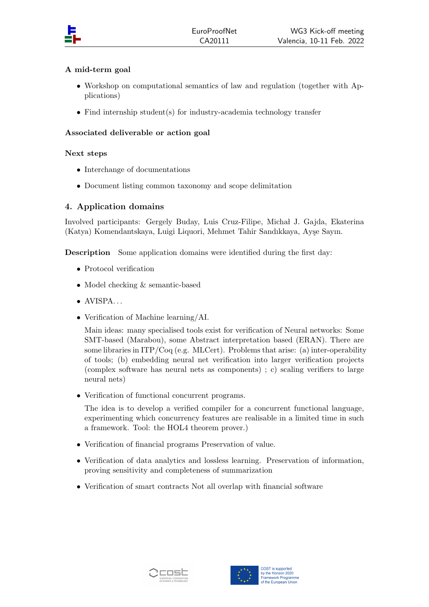

## A mid-term goal

- Workshop on computational semantics of law and regulation (together with Applications)
- Find internship student(s) for industry-academia technology transfer

## Associated deliverable or action goal

## Next steps

- Interchange of documentations
- Document listing common taxonomy and scope delimitation

## 4. Application domains

Involved participants: Gergely Buday, Luis Cruz-Filipe, Micha l J. Gajda, Ekaterina (Katya) Komendantskaya, Luigi Liquori, Mehmet Tahir Sandıkkaya, Ayşe Sayın.

Description Some application domains were identified during the first day:

- Protocol verification
- Model checking & semantic-based
- $\bullet$  AVISPA...
- Verification of Machine learning/AI.

Main ideas: many specialised tools exist for verification of Neural networks: Some SMT-based (Marabou), some Abstract interpretation based (ERAN). There are some libraries in  $ITP/Coq$  (e.g. MLCert). Problems that arise: (a) inter-operability of tools; (b) embedding neural net verification into larger verification projects (complex software has neural nets as components) ; c) scaling verifiers to large neural nets)

• Verification of functional concurrent programs.

The idea is to develop a verified compiler for a concurrent functional language, experimenting which concurrency features are realisable in a limited time in such a framework. Tool: the HOL4 theorem prover.)

- Verification of financial programs Preservation of value.
- Verification of data analytics and lossless learning. Preservation of information, proving sensitivity and completeness of summarization
- Verification of smart contracts Not all overlap with financial software



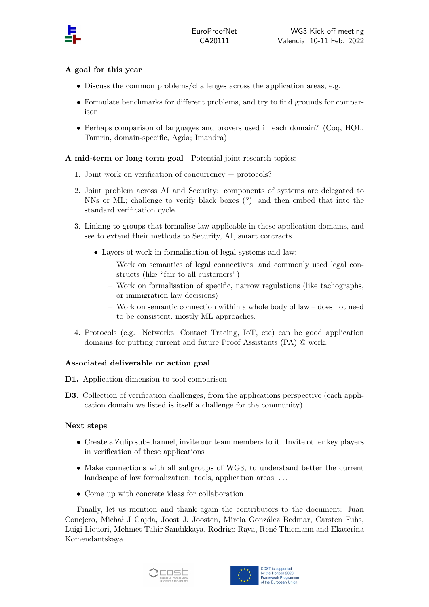## A goal for this year

- Discuss the common problems/challenges across the application areas, e.g.
- Formulate benchmarks for different problems, and try to find grounds for comparison
- Perhaps comparison of languages and provers used in each domain? (Coq, HOL, Tamrin, domain-specific, Agda; Imandra)

## A mid-term or long term goal Potential joint research topics:

- 1. Joint work on verification of concurrency + protocols?
- 2. Joint problem across AI and Security: components of systems are delegated to NNs or ML; challenge to verify black boxes (?) and then embed that into the standard verification cycle.
- 3. Linking to groups that formalise law applicable in these application domains, and see to extend their methods to Security, AI, smart contracts. . .
	- Layers of work in formalisation of legal systems and law:
		- Work on semantics of legal connectives, and commonly used legal constructs (like "fair to all customers")
		- Work on formalisation of specific, narrow regulations (like tachographs, or immigration law decisions)
		- Work on semantic connection within a whole body of law does not need to be consistent, mostly ML approaches.
- 4. Protocols (e.g. Networks, Contact Tracing, IoT, etc) can be good application domains for putting current and future Proof Assistants (PA) @ work.

## Associated deliverable or action goal

D1. Application dimension to tool comparison

D3. Collection of verification challenges, from the applications perspective (each application domain we listed is itself a challenge for the community)

## Next steps

- Create a Zulip sub-channel, invite our team members to it. Invite other key players in verification of these applications
- Make connections with all subgroups of WG3, to understand better the current landscape of law formalization: tools, application areas, ...
- Come up with concrete ideas for collaboration

Finally, let us mention and thank again the contributors to the document: Juan Conejero, Michał J Gajda, Joost J. Joosten, Mireia González Bedmar, Carsten Fuhs, Luigi Liquori, Mehmet Tahir Sandıkkaya, Rodrigo Raya, René Thiemann and Ekaterina Komendantskaya.



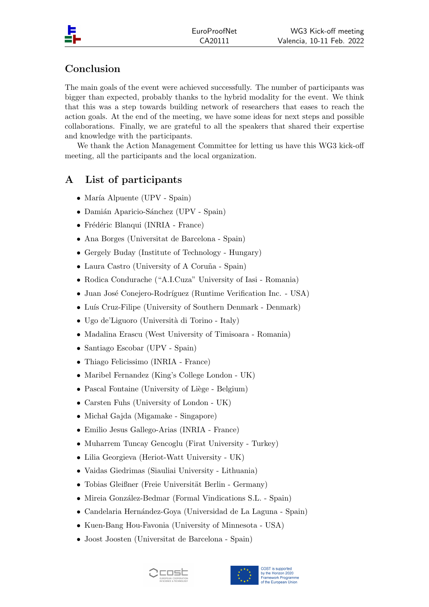# Conclusion

The main goals of the event were achieved successfully. The number of participants was bigger than expected, probably thanks to the hybrid modality for the event. We think that this was a step towards building network of researchers that eases to reach the action goals. At the end of the meeting, we have some ideas for next steps and possible collaborations. Finally, we are grateful to all the speakers that shared their expertise and knowledge with the participants.

We thank the Action Management Committee for letting us have this WG3 kick-off meeting, all the participants and the local organization.

# A List of participants

- $\bullet$  María Alpuente (UPV Spain)
- Damián Aparicio-Sánchez (UPV Spain)
- Frédéric Blanqui (INRIA France)
- Ana Borges (Universitat de Barcelona Spain)
- Gergely Buday (Institute of Technology Hungary)
- Laura Castro (University of A Coruña Spain)
- Rodica Condurache ("A.I.Cuza" University of Iasi Romania)
- Juan José Conejero-Rodríguez (Runtime Verification Inc. USA)
- Luís Cruz-Filipe (University of Southern Denmark Denmark)
- Ugo de'Liguoro (Università di Torino Italy)
- Madalina Erascu (West University of Timisoara Romania)
- Santiago Escobar (UPV Spain)
- Thiago Felicissimo (INRIA France)
- Maribel Fernandez (King's College London UK)
- $\bullet$  Pascal Fontaine (University of Liège Belgium)
- Carsten Fuhs (University of London UK)
- Michał Gajda (Migamake Singapore)
- Emilio Jesus Gallego-Arias (INRIA France)
- Muharrem Tuncay Gencoglu (Firat University Turkey)
- Lilia Georgieva (Heriot-Watt University UK)
- Vaidas Giedrimas (Siauliai University Lithuania)
- Tobias Gleißner (Freie Universität Berlin Germany)
- Mireia González-Bedmar (Formal Vindications S.L. Spain)
- Candelaria Hernández-Goya (Universidad de La Laguna Spain)
- Kuen-Bang Hou-Favonia (University of Minnesota USA)
- Joost Joosten (Universitat de Barcelona Spain)